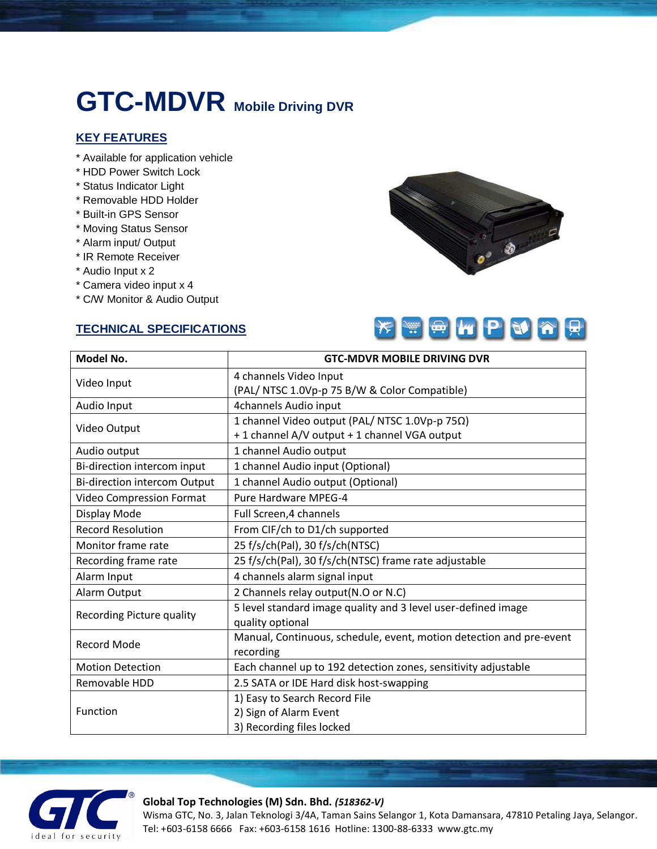# **GTC-MDVR Mobile Driving DVR**

## **KEY FEATURES**

- \* Available for application vehicle
- \* HDD Power Switch Lock
- \* Status Indicator Light
- \* Removable HDD Holder
- \* Built-in GPS Sensor
- \* Moving Status Sensor
- \* Alarm input/ Output
- \* IR Remote Receiver
- \* Audio Input x 2
- \* Camera video input x 4
- \* C/W Monitor & Audio Output

#### **TECHNICAL SPECIFICATIONS**





| Model No.                        | <b>GTC-MDVR MOBILE DRIVING DVR</b>                                  |
|----------------------------------|---------------------------------------------------------------------|
| Video Input                      | 4 channels Video Input                                              |
|                                  | (PAL/NTSC 1.0Vp-p 75 B/W & Color Compatible)                        |
| Audio Input                      | 4channels Audio input                                               |
| Video Output                     | 1 channel Video output (PAL/NTSC 1.0Vp-p 75Ω)                       |
|                                  | +1 channel A/V output +1 channel VGA output                         |
| Audio output                     | 1 channel Audio output                                              |
| Bi-direction intercom input      | 1 channel Audio input (Optional)                                    |
| Bi-direction intercom Output     | 1 channel Audio output (Optional)                                   |
| <b>Video Compression Format</b>  | Pure Hardware MPEG-4                                                |
| Display Mode                     | Full Screen, 4 channels                                             |
| <b>Record Resolution</b>         | From CIF/ch to D1/ch supported                                      |
| Monitor frame rate               | 25 f/s/ch(Pal), 30 f/s/ch(NTSC)                                     |
| Recording frame rate             | 25 f/s/ch(Pal), 30 f/s/ch(NTSC) frame rate adjustable               |
| Alarm Input                      | 4 channels alarm signal input                                       |
| Alarm Output                     | 2 Channels relay output(N.O or N.C)                                 |
| <b>Recording Picture quality</b> | 5 level standard image quality and 3 level user-defined image       |
|                                  | quality optional                                                    |
| <b>Record Mode</b>               | Manual, Continuous, schedule, event, motion detection and pre-event |
|                                  | recording                                                           |
| <b>Motion Detection</b>          | Each channel up to 192 detection zones, sensitivity adjustable      |
| Removable HDD                    | 2.5 SATA or IDE Hard disk host-swapping                             |
| Function                         | 1) Easy to Search Record File                                       |
|                                  | 2) Sign of Alarm Event                                              |
|                                  | 3) Recording files locked                                           |



#### **Global Top Technologies (M) Sdn. Bhd.** *(518362-V)*

Wisma GTC, No. 3, Jalan Teknologi 3/4A, Taman Sains Selangor 1, Kota Damansara, 47810 Petaling Jaya, Selangor. Tel: +603-6158 6666 Fax: +603-6158 1616 Hotline: 1300-88-6333 www.gtc.my